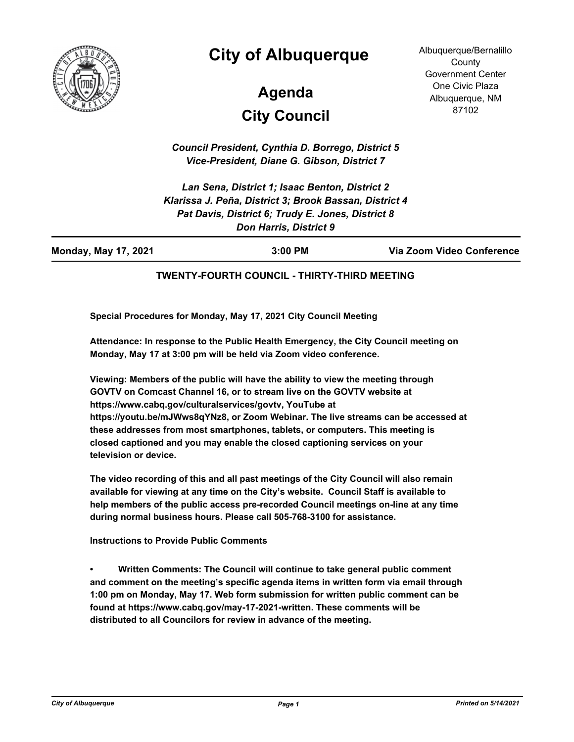

## **City of Albuquerque**

# **City Council Agenda**

Albuquerque/Bernalillo **County** Government Center One Civic Plaza Albuquerque, NM 87102

*Council President, Cynthia D. Borrego, District 5 Vice-President, Diane G. Gibson, District 7*

*Lan Sena, District 1; Isaac Benton, District 2 Klarissa J. Peña, District 3; Brook Bassan, District 4 Pat Davis, District 6; Trudy E. Jones, District 8 Don Harris, District 9*

| <b>Monday, May 17, 2021</b> | $3:00$ PM | Via Zoom Video Conference |
|-----------------------------|-----------|---------------------------|
|                             |           |                           |

#### **TWENTY-FOURTH COUNCIL - THIRTY-THIRD MEETING**

**Special Procedures for Monday, May 17, 2021 City Council Meeting**

**Attendance: In response to the Public Health Emergency, the City Council meeting on Monday, May 17 at 3:00 pm will be held via Zoom video conference.**

**Viewing: Members of the public will have the ability to view the meeting through GOVTV on Comcast Channel 16, or to stream live on the GOVTV website at https://www.cabq.gov/culturalservices/govtv, YouTube at https://youtu.be/mJWws8qYNz8, or Zoom Webinar. The live streams can be accessed at these addresses from most smartphones, tablets, or computers. This meeting is closed captioned and you may enable the closed captioning services on your television or device.**

**The video recording of this and all past meetings of the City Council will also remain available for viewing at any time on the City's website. Council Staff is available to help members of the public access pre-recorded Council meetings on-line at any time during normal business hours. Please call 505-768-3100 for assistance.**

**Instructions to Provide Public Comments**

**• Written Comments: The Council will continue to take general public comment and comment on the meeting's specific agenda items in written form via email through 1:00 pm on Monday, May 17. Web form submission for written public comment can be found at https://www.cabq.gov/may-17-2021-written. These comments will be distributed to all Councilors for review in advance of the meeting.**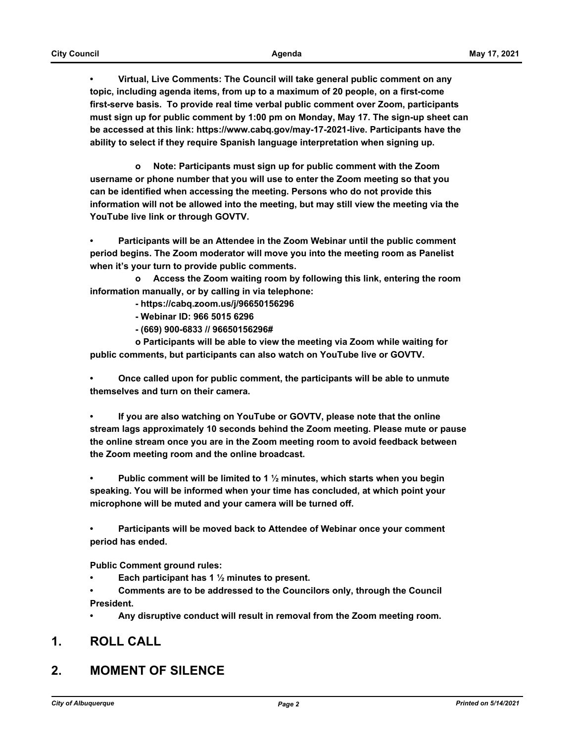**• Virtual, Live Comments: The Council will take general public comment on any topic, including agenda items, from up to a maximum of 20 people, on a first-come first-serve basis. To provide real time verbal public comment over Zoom, participants must sign up for public comment by 1:00 pm on Monday, May 17. The sign-up sheet can be accessed at this link: https://www.cabq.gov/may-17-2021-live. Participants have the ability to select if they require Spanish language interpretation when signing up.**

 **o Note: Participants must sign up for public comment with the Zoom username or phone number that you will use to enter the Zoom meeting so that you can be identified when accessing the meeting. Persons who do not provide this information will not be allowed into the meeting, but may still view the meeting via the YouTube live link or through GOVTV.**

**• Participants will be an Attendee in the Zoom Webinar until the public comment period begins. The Zoom moderator will move you into the meeting room as Panelist when it's your turn to provide public comments.** 

 **o Access the Zoom waiting room by following this link, entering the room information manually, or by calling in via telephone:** 

- **https://cabq.zoom.us/j/96650156296**
- **Webinar ID: 966 5015 6296**
- **(669) 900-6833 // 96650156296#**

 **o Participants will be able to view the meeting via Zoom while waiting for public comments, but participants can also watch on YouTube live or GOVTV.**

**• Once called upon for public comment, the participants will be able to unmute themselves and turn on their camera.**

**• If you are also watching on YouTube or GOVTV, please note that the online stream lags approximately 10 seconds behind the Zoom meeting. Please mute or pause the online stream once you are in the Zoom meeting room to avoid feedback between the Zoom meeting room and the online broadcast.**

**• Public comment will be limited to 1 ½ minutes, which starts when you begin speaking. You will be informed when your time has concluded, at which point your microphone will be muted and your camera will be turned off.**

**• Participants will be moved back to Attendee of Webinar once your comment period has ended.**

**Public Comment ground rules:**

**• Each participant has 1 ½ minutes to present.**

**• Comments are to be addressed to the Councilors only, through the Council President.**

**• Any disruptive conduct will result in removal from the Zoom meeting room.**

#### **1. ROLL CALL**

## **2. MOMENT OF SILENCE**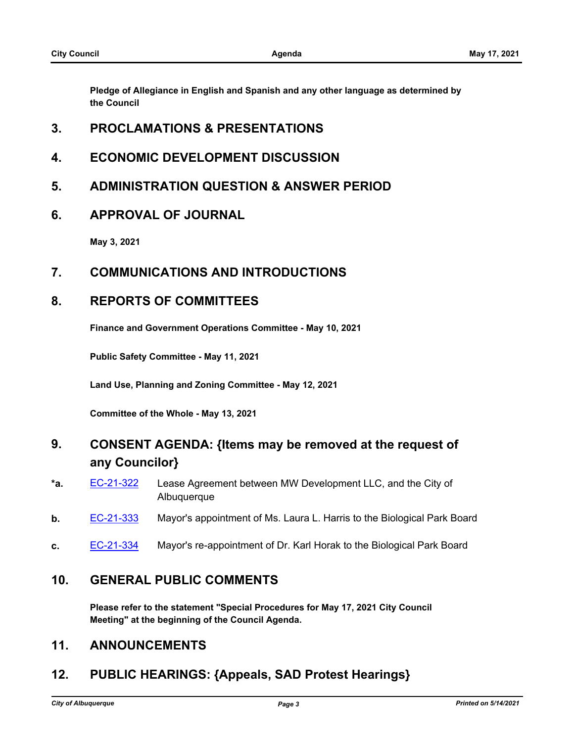**Pledge of Allegiance in English and Spanish and any other language as determined by the Council**

#### **3. PROCLAMATIONS & PRESENTATIONS**

- **4. ECONOMIC DEVELOPMENT DISCUSSION**
- **5. ADMINISTRATION QUESTION & ANSWER PERIOD**
- **6. APPROVAL OF JOURNAL**

**May 3, 2021**

#### **7. COMMUNICATIONS AND INTRODUCTIONS**

#### **8. REPORTS OF COMMITTEES**

**Finance and Government Operations Committee - May 10, 2021**

**Public Safety Committee - May 11, 2021**

**Land Use, Planning and Zoning Committee - May 12, 2021**

**Committee of the Whole - May 13, 2021**

## **9. CONSENT AGENDA: {Items may be removed at the request of any Councilor}**

- **\*a.** [EC-21-322](http://cabq.legistar.com/gateway.aspx?m=l&id=/matter.aspx?key=12435) Lease Agreement between MW Development LLC, and the City of Albuquerque
- **b.** [EC-21-333](http://cabq.legistar.com/gateway.aspx?m=l&id=/matter.aspx?key=12457) Mayor's appointment of Ms. Laura L. Harris to the Biological Park Board
- **c.** [EC-21-334](http://cabq.legistar.com/gateway.aspx?m=l&id=/matter.aspx?key=12458) Mayor's re-appointment of Dr. Karl Horak to the Biological Park Board

#### **10. GENERAL PUBLIC COMMENTS**

**Please refer to the statement "Special Procedures for May 17, 2021 City Council Meeting" at the beginning of the Council Agenda.**

#### **11. ANNOUNCEMENTS**

## **12. PUBLIC HEARINGS: {Appeals, SAD Protest Hearings}**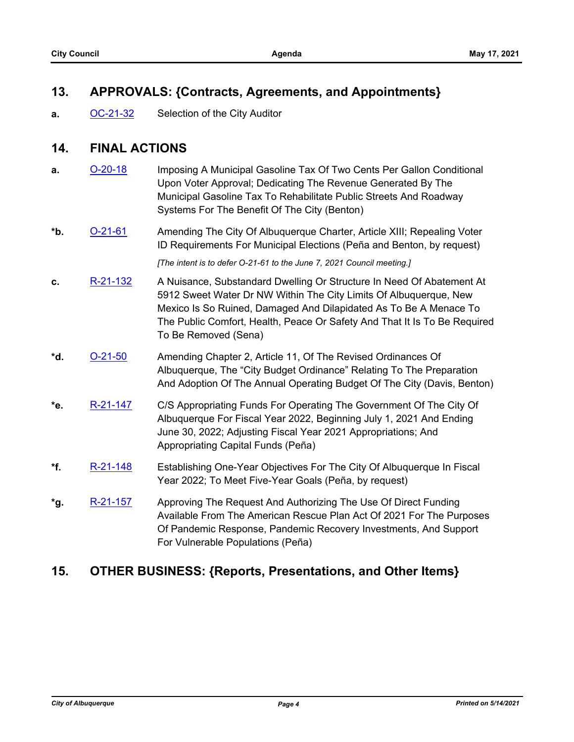## **13. APPROVALS: {Contracts, Agreements, and Appointments}**

**a.** [OC-21-32](http://cabq.legistar.com/gateway.aspx?m=l&id=/matter.aspx?key=12454) Selection of the City Auditor

## **14. FINAL ACTIONS**

- **a. [O-20-18](http://cabq.legistar.com/gateway.aspx?m=l&id=/matter.aspx?key=12013)** Imposing A Municipal Gasoline Tax Of Two Cents Per Gallon Conditional Upon Voter Approval; Dedicating The Revenue Generated By The Municipal Gasoline Tax To Rehabilitate Public Streets And Roadway Systems For The Benefit Of The City (Benton)
- **\*b.** [O-21-61](http://cabq.legistar.com/gateway.aspx?m=l&id=/matter.aspx?key=12459) Amending The City Of Albuquerque Charter, Article XIII; Repealing Voter ID Requirements For Municipal Elections (Peña and Benton, by request)

*[The intent is to defer O-21-61 to the June 7, 2021 Council meeting.]*

- **c.** [R-21-132](http://cabq.legistar.com/gateway.aspx?m=l&id=/matter.aspx?key=12328) A Nuisance, Substandard Dwelling Or Structure In Need Of Abatement At 5912 Sweet Water Dr NW Within The City Limits Of Albuquerque, New Mexico Is So Ruined, Damaged And Dilapidated As To Be A Menace To The Public Comfort, Health, Peace Or Safety And That It Is To Be Required To Be Removed (Sena)
- **\*d.** [O-21-50](http://cabq.legistar.com/gateway.aspx?m=l&id=/matter.aspx?key=12347) Amending Chapter 2, Article 11, Of The Revised Ordinances Of Albuquerque, The "City Budget Ordinance" Relating To The Preparation And Adoption Of The Annual Operating Budget Of The City (Davis, Benton)
- **\*e.** [R-21-147](http://cabq.legistar.com/gateway.aspx?m=l&id=/matter.aspx?key=12428) C/S Appropriating Funds For Operating The Government Of The City Of Albuquerque For Fiscal Year 2022, Beginning July 1, 2021 And Ending June 30, 2022; Adjusting Fiscal Year 2021 Appropriations; And Appropriating Capital Funds (Peña)
- **\*f.** [R-21-148](http://cabq.legistar.com/gateway.aspx?m=l&id=/matter.aspx?key=12429) Establishing One-Year Objectives For The City Of Albuquerque In Fiscal Year 2022; To Meet Five-Year Goals (Peña, by request)
- **\*g.** [R-21-157](http://cabq.legistar.com/gateway.aspx?m=l&id=/matter.aspx?key=12450) Approving The Request And Authorizing The Use Of Direct Funding Available From The American Rescue Plan Act Of 2021 For The Purposes Of Pandemic Response, Pandemic Recovery Investments, And Support For Vulnerable Populations (Peña)

## **15. OTHER BUSINESS: {Reports, Presentations, and Other Items}**